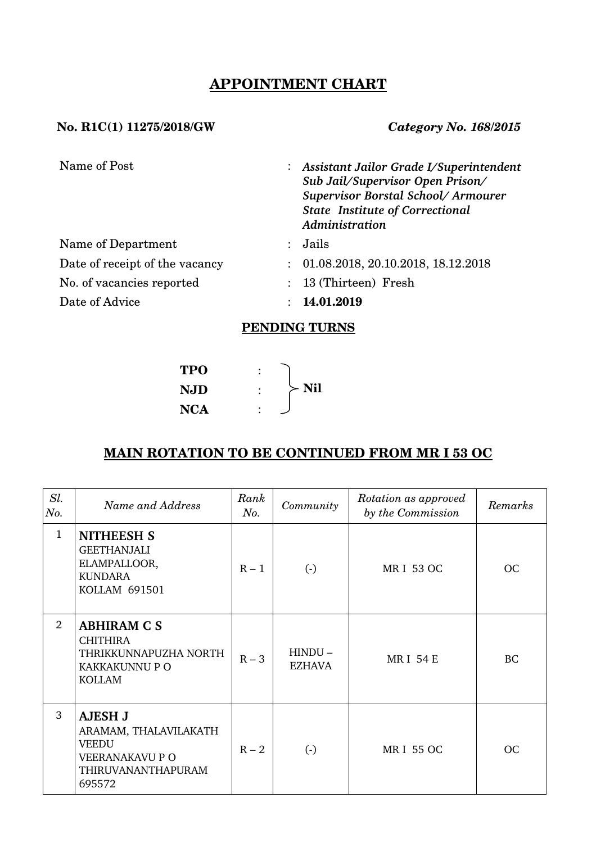# **APPOINTMENT CHART**

### **No. R1C(1) 11275/2018/GW** *Category No. 168/2015*

| Name of Post                   |                           | : Assistant Jailor Grade I/Superintendent<br>Sub Jail/Supervisor Open Prison/<br>Supervisor Borstal School/Armourer<br><b>State Institute of Correctional</b><br>Administration |
|--------------------------------|---------------------------|---------------------------------------------------------------------------------------------------------------------------------------------------------------------------------|
| Name of Department             | $\mathcal{L}$             | Jails                                                                                                                                                                           |
| Date of receipt of the vacancy | $\mathbb{R}^{\mathbb{Z}}$ | 01.08.2018, 20.10.2018, 18.12.2018                                                                                                                                              |
| No. of vacancies reported      |                           | : 13 (Thirteen) Fresh                                                                                                                                                           |
| Date of Advice                 |                           | 14.01.2019                                                                                                                                                                      |

## **PENDING TURNS**

$$
\begin{array}{ccc}\n\text{TPO} & : \\
\text{NJD} & : \\
\text{NCA} & : \n\end{array}\n\begin{array}{c}\n\end{array}\n\text{Nil}\n\end{array}
$$

# **MAIN ROTATION TO BE CONTINUED FROM MR I 53 OC**

| Sl.<br>No.   | Name and Address                                                                                                  | Rank<br>No. | Community                  | Rotation as approved<br>by the Commission | Remarks   |
|--------------|-------------------------------------------------------------------------------------------------------------------|-------------|----------------------------|-------------------------------------------|-----------|
| $\mathbf{1}$ | <b>NITHEESH S</b><br><b>GEETHANJALI</b><br>ELAMPALLOOR,<br><b>KUNDARA</b><br><b>KOLLAM 691501</b>                 | $R - 1$     | $\left( \cdot \right)$     | <b>MRI 53 OC</b>                          | <b>OC</b> |
| 2            | <b>ABHIRAM C S</b><br><b>CHITHIRA</b><br>THRIKKUNNAPUZHA NORTH<br>KAKKAKUNNU P O<br><b>KOLLAM</b>                 | $R - 3$     | $HINDU -$<br><b>EZHAVA</b> | <b>MRI 54 E</b>                           | <b>BC</b> |
| 3            | <b>AJESH J</b><br>ARAMAM, THALAVILAKATH<br><b>VEEDU</b><br><b>VEERANAKAVU P O</b><br>THIRUVANANTHAPURAM<br>695572 | $R - 2$     | $\left( \cdot \right)$     | <b>MRI 55 OC</b>                          | <b>OC</b> |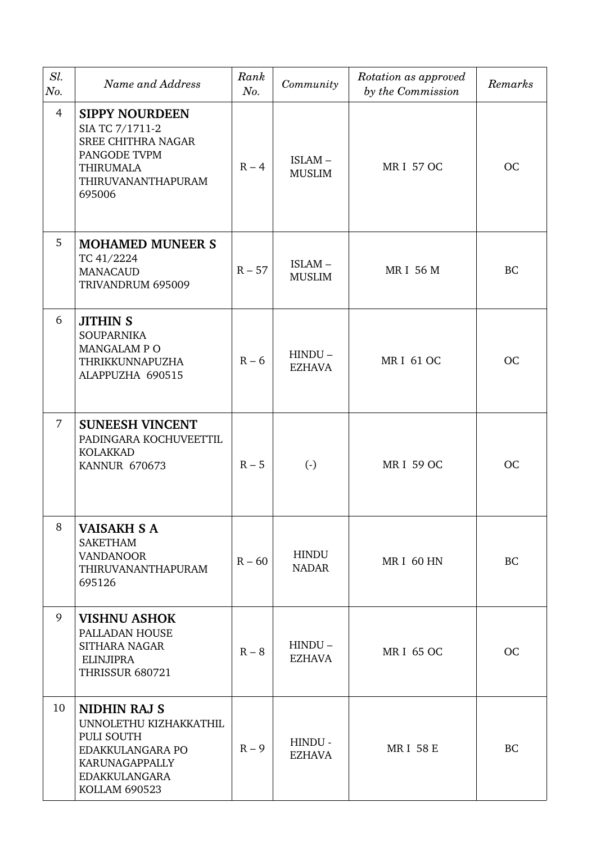| Sl.<br>No. | Name and Address                                                                                                                           | Rank<br>No. | Community                    | Rotation as approved<br>by the Commission | Remarks   |
|------------|--------------------------------------------------------------------------------------------------------------------------------------------|-------------|------------------------------|-------------------------------------------|-----------|
| 4          | <b>SIPPY NOURDEEN</b><br>SIA TC 7/1711-2<br><b>SREE CHITHRA NAGAR</b><br>PANGODE TVPM<br><b>THIRUMALA</b><br>THIRUVANANTHAPURAM<br>695006  | $R - 4$     | ISLAM-<br><b>MUSLIM</b>      | <b>MRI 57 OC</b>                          | OC        |
| 5          | <b>MOHAMED MUNEER S</b><br>TC 41/2224<br><b>MANACAUD</b><br>TRIVANDRUM 695009                                                              | $R - 57$    | ISLAM-<br><b>MUSLIM</b>      | <b>MRI 56 M</b>                           | BC        |
| 6          | <b>JITHIN S</b><br><b>SOUPARNIKA</b><br>MANGALAM PO<br>THRIKKUNNAPUZHA<br>ALAPPUZHA 690515                                                 | $R - 6$     | $HINDU -$<br><b>EZHAVA</b>   | <b>MRI 61 OC</b>                          | OC        |
| 7          | <b>SUNEESH VINCENT</b><br>PADINGARA KOCHUVEETTIL<br><b>KOLAKKAD</b><br><b>KANNUR 670673</b>                                                | $R - 5$     | $\left( \cdot \right)$       | <b>MRI 59 OC</b>                          | <b>OC</b> |
| 8          | <b>VAISAKH S A</b><br><b>SAKETHAM</b><br><b>VANDANOOR</b><br>THIRUVANANTHAPURAM<br>695126                                                  | $R - 60$    | <b>HINDU</b><br><b>NADAR</b> | MRI 60 HN                                 | BC        |
| 9          | <b>VISHNU ASHOK</b><br>PALLADAN HOUSE<br><b>SITHARA NAGAR</b><br>ELINJIPRA<br><b>THRISSUR 680721</b>                                       | $R - 8$     | $HINDU -$<br><b>EZHAVA</b>   | <b>MRI 65 OC</b>                          | OC        |
| 10         | <b>NIDHIN RAJ S</b><br>UNNOLETHU KIZHAKKATHIL<br>PULI SOUTH<br>EDAKKULANGARA PO<br>KARUNAGAPPALLY<br><b>EDAKKULANGARA</b><br>KOLLAM 690523 | $R - 9$     | HINDU -<br><b>EZHAVA</b>     | <b>MRI 58 E</b>                           | <b>BC</b> |